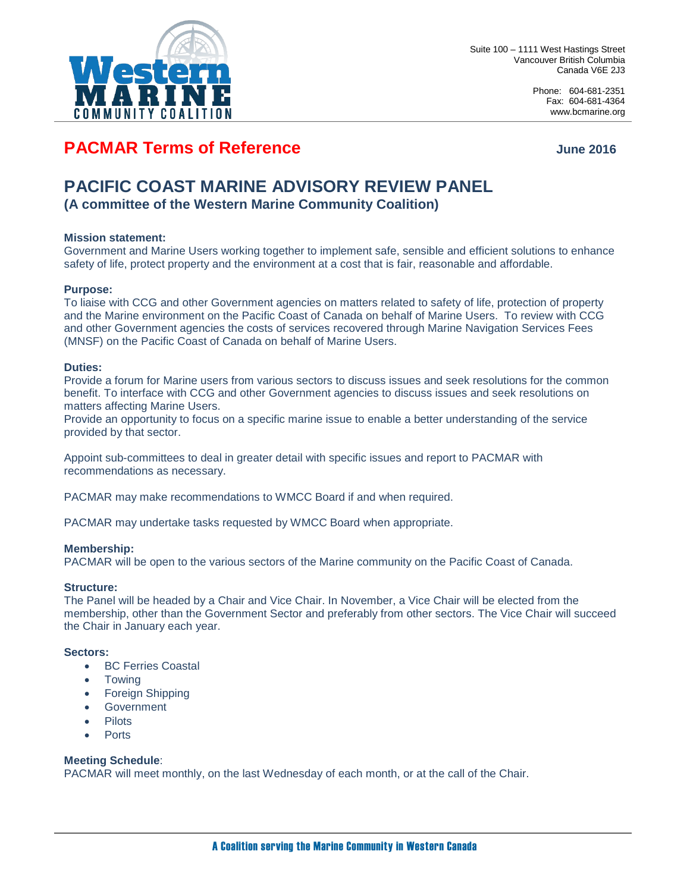

Phone: 604-681-2351 Fax: 604-681-4364 www.bcmarine.org

## **PACMAR Terms of Reference** Manual Computer of June 2016

# **PACIFIC COAST MARINE ADVISORY REVIEW PANEL**

**(A committee of the Western Marine Community Coalition)**

### **Mission statement:**

Government and Marine Users working together to implement safe, sensible and efficient solutions to enhance safety of life, protect property and the environment at a cost that is fair, reasonable and affordable.

#### **Purpose:**

To liaise with CCG and other Government agencies on matters related to safety of life, protection of property and the Marine environment on the Pacific Coast of Canada on behalf of Marine Users. To review with CCG and other Government agencies the costs of services recovered through Marine Navigation Services Fees (MNSF) on the Pacific Coast of Canada on behalf of Marine Users.

#### **Duties:**

Provide a forum for Marine users from various sectors to discuss issues and seek resolutions for the common benefit. To interface with CCG and other Government agencies to discuss issues and seek resolutions on matters affecting Marine Users.

Provide an opportunity to focus on a specific marine issue to enable a better understanding of the service provided by that sector.

Appoint sub-committees to deal in greater detail with specific issues and report to PACMAR with recommendations as necessary.

PACMAR may make recommendations to WMCC Board if and when required.

PACMAR may undertake tasks requested by WMCC Board when appropriate.

#### **Membership:**

PACMAR will be open to the various sectors of the Marine community on the Pacific Coast of Canada.

#### **Structure:**

The Panel will be headed by a Chair and Vice Chair. In November, a Vice Chair will be elected from the membership, other than the Government Sector and preferably from other sectors. The Vice Chair will succeed the Chair in January each year.

#### **Sectors:**

- BC Ferries Coastal
- **Towing**
- Foreign Shipping
- **Government**
- **Pilots**
- Ports

#### **Meeting Schedule**:

PACMAR will meet monthly, on the last Wednesday of each month, or at the call of the Chair.